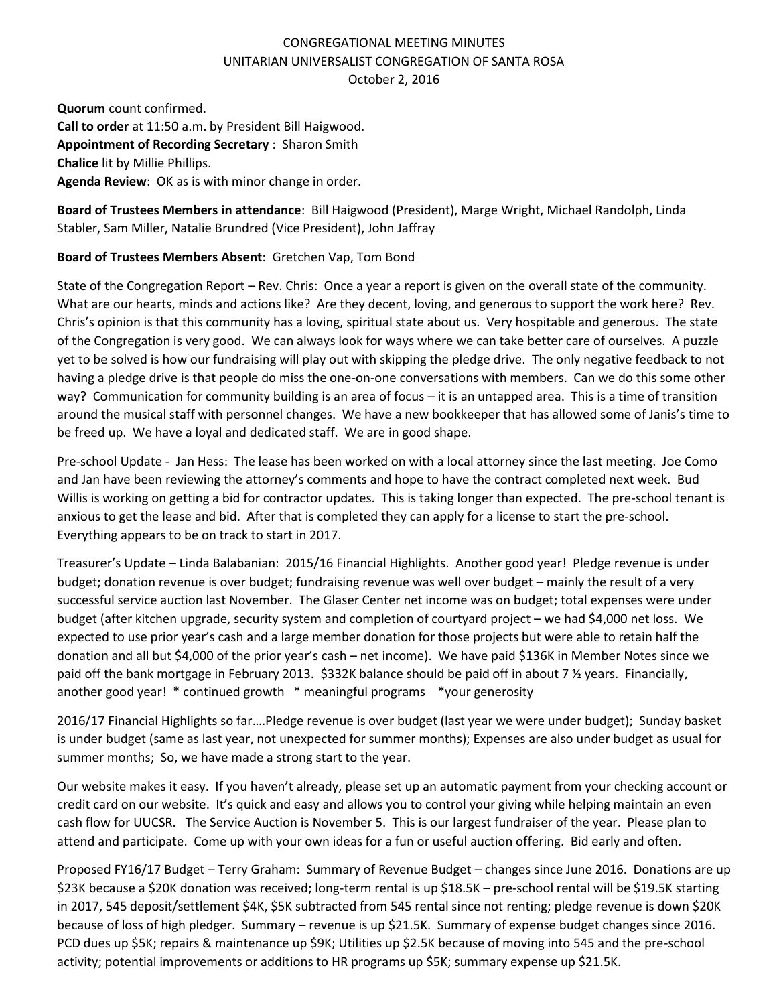## CONGREGATIONAL MEETING MINUTES UNITARIAN UNIVERSALIST CONGREGATION OF SANTA ROSA October 2, 2016

**Quorum** count confirmed. **Call to order** at 11:50 a.m. by President Bill Haigwood. **Appointment of Recording Secretary** : Sharon Smith **Chalice** lit by Millie Phillips. **Agenda Review**: OK as is with minor change in order.

**Board of Trustees Members in attendance**: Bill Haigwood (President), Marge Wright, Michael Randolph, Linda Stabler, Sam Miller, Natalie Brundred (Vice President), John Jaffray

## **Board of Trustees Members Absent**: Gretchen Vap, Tom Bond

State of the Congregation Report – Rev. Chris: Once a year a report is given on the overall state of the community. What are our hearts, minds and actions like? Are they decent, loving, and generous to support the work here? Rev. Chris's opinion is that this community has a loving, spiritual state about us. Very hospitable and generous. The state of the Congregation is very good. We can always look for ways where we can take better care of ourselves. A puzzle yet to be solved is how our fundraising will play out with skipping the pledge drive. The only negative feedback to not having a pledge drive is that people do miss the one-on-one conversations with members. Can we do this some other way? Communication for community building is an area of focus – it is an untapped area. This is a time of transition around the musical staff with personnel changes. We have a new bookkeeper that has allowed some of Janis's time to be freed up. We have a loyal and dedicated staff. We are in good shape.

Pre-school Update - Jan Hess: The lease has been worked on with a local attorney since the last meeting. Joe Como and Jan have been reviewing the attorney's comments and hope to have the contract completed next week. Bud Willis is working on getting a bid for contractor updates. This is taking longer than expected. The pre-school tenant is anxious to get the lease and bid. After that is completed they can apply for a license to start the pre-school. Everything appears to be on track to start in 2017.

Treasurer's Update – Linda Balabanian: 2015/16 Financial Highlights. Another good year! Pledge revenue is under budget; donation revenue is over budget; fundraising revenue was well over budget – mainly the result of a very successful service auction last November. The Glaser Center net income was on budget; total expenses were under budget (after kitchen upgrade, security system and completion of courtyard project – we had \$4,000 net loss. We expected to use prior year's cash and a large member donation for those projects but were able to retain half the donation and all but \$4,000 of the prior year's cash – net income). We have paid \$136K in Member Notes since we paid off the bank mortgage in February 2013. \$332K balance should be paid off in about 7 ½ years. Financially, another good year! \* continued growth \* meaningful programs \*your generosity

2016/17 Financial Highlights so far….Pledge revenue is over budget (last year we were under budget); Sunday basket is under budget (same as last year, not unexpected for summer months); Expenses are also under budget as usual for summer months; So, we have made a strong start to the year.

Our website makes it easy. If you haven't already, please set up an automatic payment from your checking account or credit card on our website. It's quick and easy and allows you to control your giving while helping maintain an even cash flow for UUCSR. The Service Auction is November 5. This is our largest fundraiser of the year. Please plan to attend and participate. Come up with your own ideas for a fun or useful auction offering. Bid early and often.

Proposed FY16/17 Budget – Terry Graham: Summary of Revenue Budget – changes since June 2016. Donations are up \$23K because a \$20K donation was received; long-term rental is up \$18.5K – pre-school rental will be \$19.5K starting in 2017, 545 deposit/settlement \$4K, \$5K subtracted from 545 rental since not renting; pledge revenue is down \$20K because of loss of high pledger. Summary – revenue is up \$21.5K. Summary of expense budget changes since 2016. PCD dues up \$5K; repairs & maintenance up \$9K; Utilities up \$2.5K because of moving into 545 and the pre-school activity; potential improvements or additions to HR programs up \$5K; summary expense up \$21.5K.